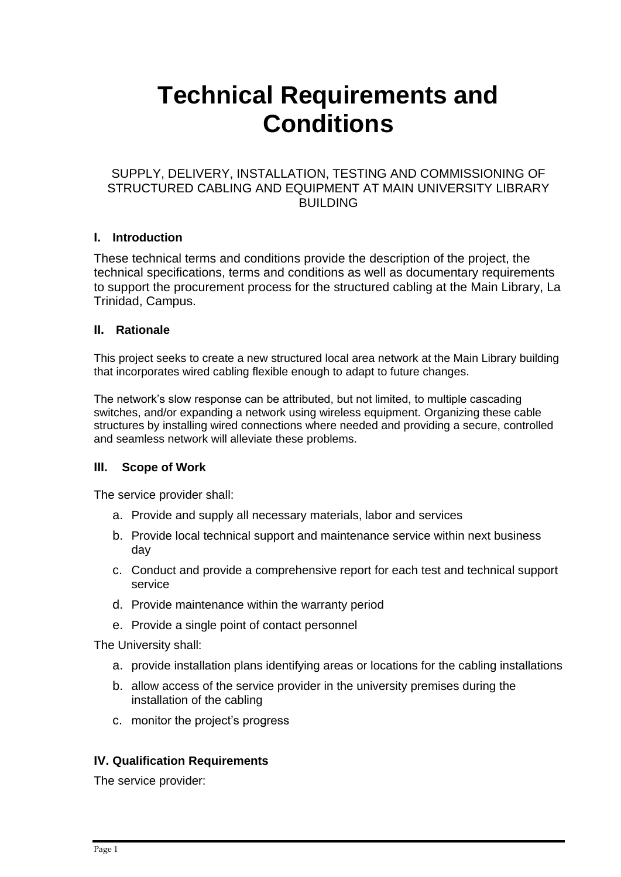# **Technical Requirements and Conditions**

## SUPPLY, DELIVERY, INSTALLATION, TESTING AND COMMISSIONING OF STRUCTURED CABLING AND EQUIPMENT AT MAIN UNIVERSITY LIBRARY **BUILDING**

#### **I. Introduction**

These technical terms and conditions provide the description of the project, the technical specifications, terms and conditions as well as documentary requirements to support the procurement process for the structured cabling at the Main Library, La Trinidad, Campus.

#### **II. Rationale**

This project seeks to create a new structured local area network at the Main Library building that incorporates wired cabling flexible enough to adapt to future changes.

The network's slow response can be attributed, but not limited, to multiple cascading switches, and/or expanding a network using wireless equipment. Organizing these cable structures by installing wired connections where needed and providing a secure, controlled and seamless network will alleviate these problems.

#### **III. Scope of Work**

The service provider shall:

- a. Provide and supply all necessary materials, labor and services
- b. Provide local technical support and maintenance service within next business day
- c. Conduct and provide a comprehensive report for each test and technical support service
- d. Provide maintenance within the warranty period
- e. Provide a single point of contact personnel

The University shall:

- a. provide installation plans identifying areas or locations for the cabling installations
- b. allow access of the service provider in the university premises during the installation of the cabling
- c. monitor the project's progress

#### **IV. Qualification Requirements**

The service provider: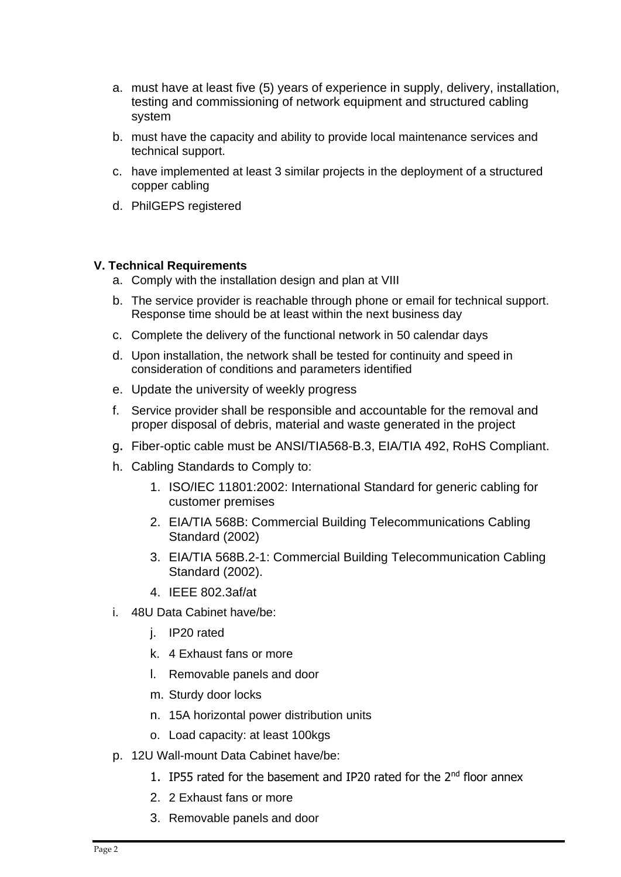- a. must have at least five (5) years of experience in supply, delivery, installation, testing and commissioning of network equipment and structured cabling system
- b. must have the capacity and ability to provide local maintenance services and technical support.
- c. have implemented at least 3 similar projects in the deployment of a structured copper cabling
- d. PhilGEPS registered

### **V. Technical Requirements**

- a. Comply with the installation design and plan at VIII
- b. The service provider is reachable through phone or email for technical support. Response time should be at least within the next business day
- c. Complete the delivery of the functional network in 50 calendar days
- d. Upon installation, the network shall be tested for continuity and speed in consideration of conditions and parameters identified
- e. Update the university of weekly progress
- f. Service provider shall be responsible and accountable for the removal and proper disposal of debris, material and waste generated in the project
- g. Fiber-optic cable must be ANSI/TIA568-B.3, EIA/TIA 492, RoHS Compliant.
- h. Cabling Standards to Comply to:
	- 1. ISO/IEC 11801:2002: International Standard for generic cabling for customer premises
	- 2. EIA/TIA 568B: Commercial Building Telecommunications Cabling Standard (2002)
	- 3. EIA/TIA 568B.2-1: Commercial Building Telecommunication Cabling Standard (2002).
	- 4. IEEE 802.3af/at
- i. 48U Data Cabinet have/be:
	- j. IP20 rated
	- k. 4 Exhaust fans or more
	- l. Removable panels and door
	- m. Sturdy door locks
	- n. 15A horizontal power distribution units
	- o. Load capacity: at least 100kgs
- p. 12U Wall-mount Data Cabinet have/be:
	- 1. IP55 rated for the basement and IP20 rated for the 2<sup>nd</sup> floor annex
	- 2. 2 Exhaust fans or more
	- 3. Removable panels and door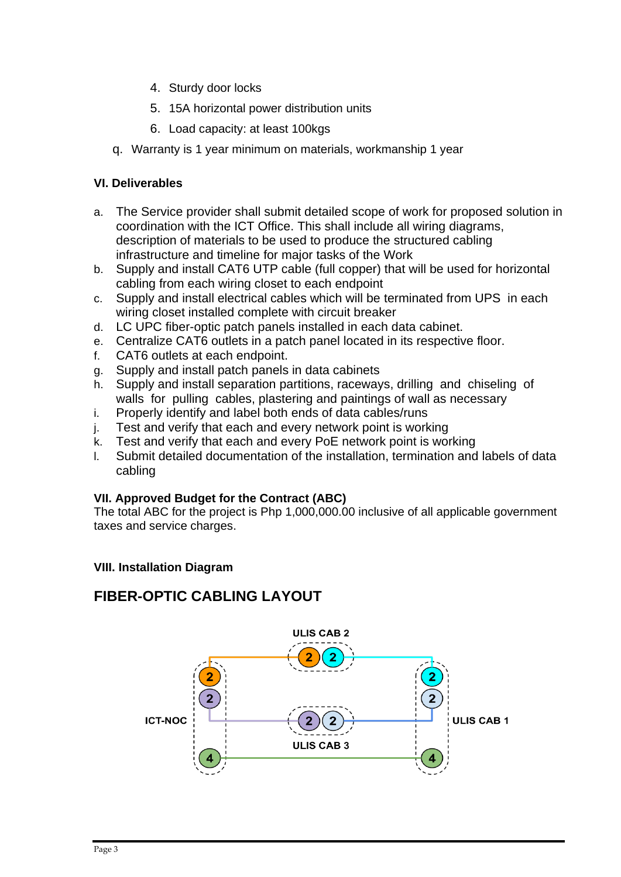- 4. Sturdy door locks
- 5. 15A horizontal power distribution units
- 6. Load capacity: at least 100kgs
- q. Warranty is 1 year minimum on materials, workmanship 1 year

#### **VI. Deliverables**

- a. The Service provider shall submit detailed scope of work for proposed solution in coordination with the ICT Office. This shall include all wiring diagrams, description of materials to be used to produce the structured cabling infrastructure and timeline for major tasks of the Work
- b. Supply and install CAT6 UTP cable (full copper) that will be used for horizontal cabling from each wiring closet to each endpoint
- c. Supply and install electrical cables which will be terminated from UPS in each wiring closet installed complete with circuit breaker
- d. LC UPC fiber-optic patch panels installed in each data cabinet.
- e. Centralize CAT6 outlets in a patch panel located in its respective floor.
- f. CAT6 outlets at each endpoint.
- g. Supply and install patch panels in data cabinets
- h. Supply and install separation partitions, raceways, drilling and chiseling of walls for pulling cables, plastering and paintings of wall as necessary
- i. Properly identify and label both ends of data cables/runs
- j. Test and verify that each and every network point is working
- k. Test and verify that each and every PoE network point is working
- l. Submit detailed documentation of the installation, termination and labels of data cabling

## **VII. Approved Budget for the Contract (ABC)**

The total ABC for the project is Php 1,000,000.00 inclusive of all applicable government taxes and service charges.

#### **VIII. Installation Diagram**

# **FIBER-OPTIC CABLING LAYOUT**

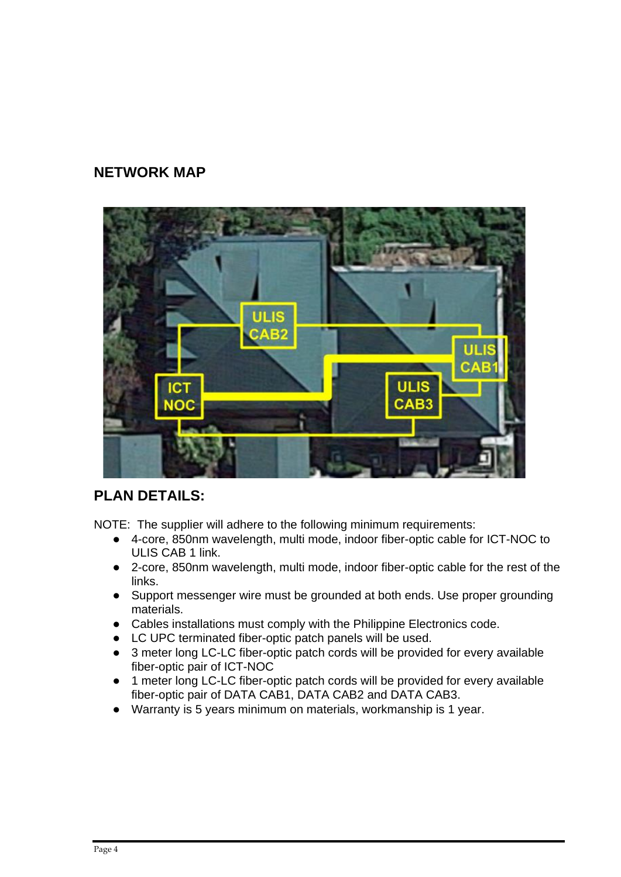## **NETWORK MAP**



# **PLAN DETAILS:**

NOTE: The supplier will adhere to the following minimum requirements:

- 4-core, 850nm wavelength, multi mode, indoor fiber-optic cable for ICT-NOC to ULIS CAB 1 link.
- 2-core, 850nm wavelength, multi mode, indoor fiber-optic cable for the rest of the links.
- Support messenger wire must be grounded at both ends. Use proper grounding materials.
- Cables installations must comply with the Philippine Electronics code.
- LC UPC terminated fiber-optic patch panels will be used.
- 3 meter long LC-LC fiber-optic patch cords will be provided for every available fiber-optic pair of ICT-NOC
- 1 meter long LC-LC fiber-optic patch cords will be provided for every available fiber-optic pair of DATA CAB1, DATA CAB2 and DATA CAB3.
- Warranty is 5 years minimum on materials, workmanship is 1 year.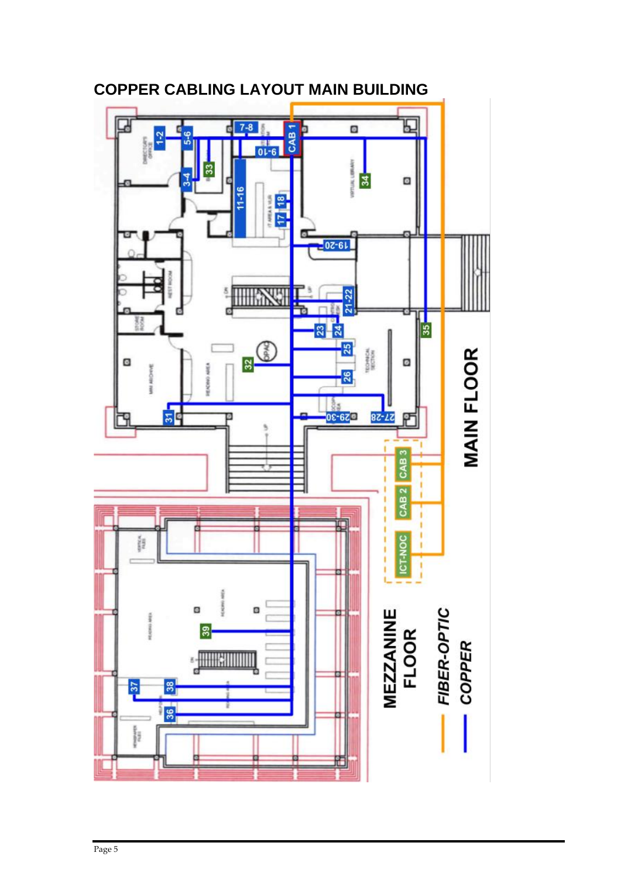

**COPPER CABLING LAYOUT MAIN BUILDING**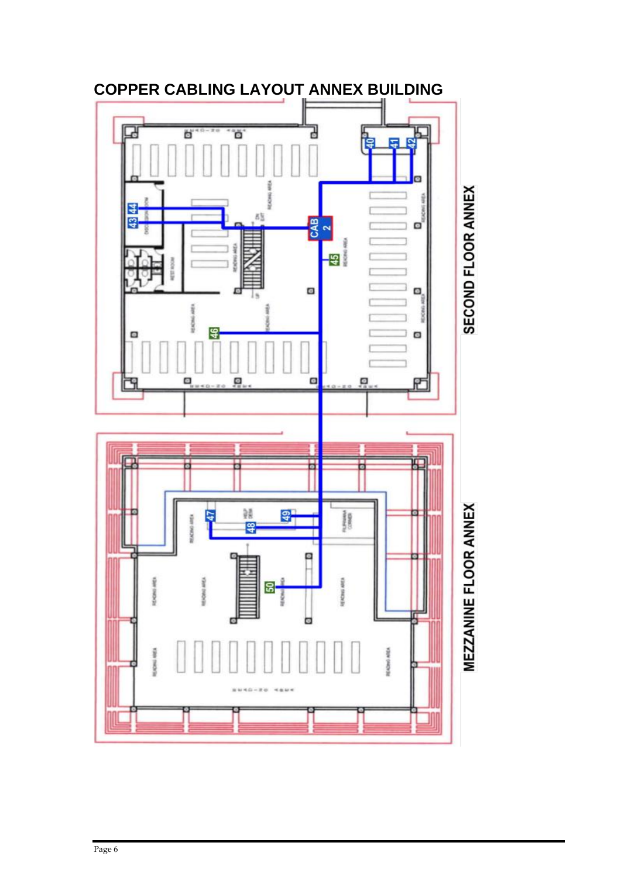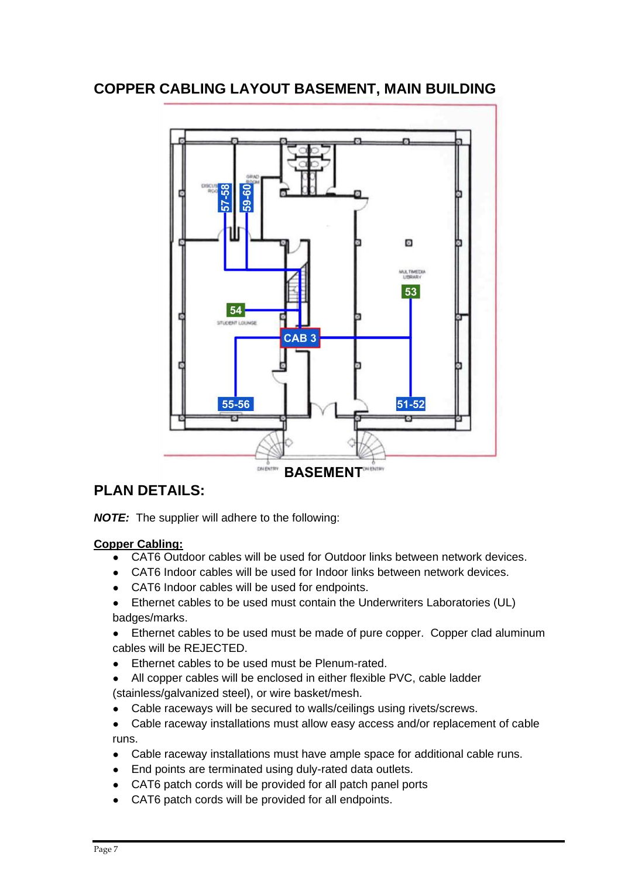## **COPPER CABLING LAYOUT BASEMENT, MAIN BUILDING**



## **PLAN DETAILS:**

*NOTE:* The supplier will adhere to the following:

#### **Copper Cabling:**

- CAT6 Outdoor cables will be used for Outdoor links between network devices.
- CAT6 Indoor cables will be used for Indoor links between network devices.
- CAT6 Indoor cables will be used for endpoints.
- Ethernet cables to be used must contain the Underwriters Laboratories (UL) badges/marks.
- Ethernet cables to be used must be made of pure copper. Copper clad aluminum cables will be REJECTED.
- Ethernet cables to be used must be Plenum-rated.
- All copper cables will be enclosed in either flexible PVC, cable ladder (stainless/galvanized steel), or wire basket/mesh.
- Cable raceways will be secured to walls/ceilings using rivets/screws.
- Cable raceway installations must allow easy access and/or replacement of cable runs.
- Cable raceway installations must have ample space for additional cable runs.
- End points are terminated using duly-rated data outlets.
- CAT6 patch cords will be provided for all patch panel ports
- CAT6 patch cords will be provided for all endpoints.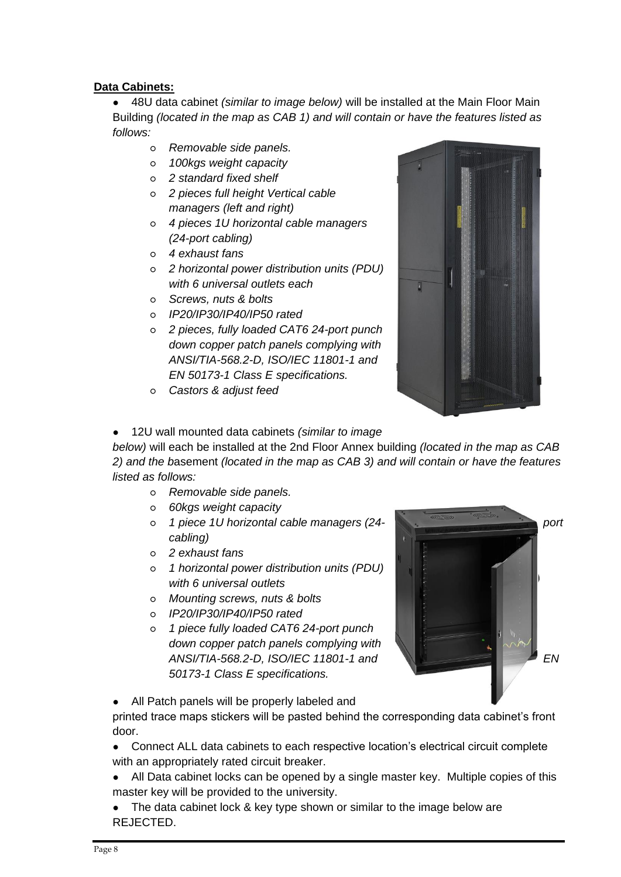### **Data Cabinets:**

● 48U data cabinet *(similar to image below)* will be installed at the Main Floor Main Building *(located in the map as CAB 1) and will contain or have the features listed as follows:*

- *Removable side panels.*
- *100kgs weight capacity*
- *2 standard fixed shelf*
- *2 pieces full height Vertical cable managers (left and right)*
- *4 pieces 1U horizontal cable managers (24-port cabling)*
- *4 exhaust fans*
- *2 horizontal power distribution units (PDU) with 6 universal outlets each*
- *Screws, nuts & bolts*
- *IP20/IP30/IP40/IP50 rated*
- *2 pieces, fully loaded CAT6 24-port punch down copper patch panels complying with ANSI/TIA-568.2-D, ISO/IEC 11801-1 and EN 50173-1 Class E specifications.*
- *Castors & adjust feed*



● 12U wall mounted data cabinets *(similar to image* 

*below)* will each be installed at the 2nd Floor Annex building *(located in the map as CAB 2) and the b*asement *(located in the map as CAB 3) and will contain or have the features listed as follows:*

- *Removable side panels.*
- *60kgs weight capacity*
- *1 piece 1U horizontal cable managers (24- port cabling)*
- *2 exhaust fans*
- *1 horizontal power distribution units (PDU) with 6 universal outlets*
- *Mounting screws, nuts & bolts*
- *IP20/IP30/IP40/IP50 rated*
- *1 piece fully loaded CAT6 24-port punch down copper patch panels complying with*  ANSI/TIA-568.2-D, ISO/IEC 11801-1 and **EN** *EN EN* EN *50173-1 Class E specifications.*



All Patch panels will be properly labeled and

printed trace maps stickers will be pasted behind the corresponding data cabinet's front door.

- Connect ALL data cabinets to each respective location's electrical circuit complete with an appropriately rated circuit breaker.
- All Data cabinet locks can be opened by a single master key. Multiple copies of this master key will be provided to the university.
- The data cabinet lock & key type shown or similar to the image below are REJECTED.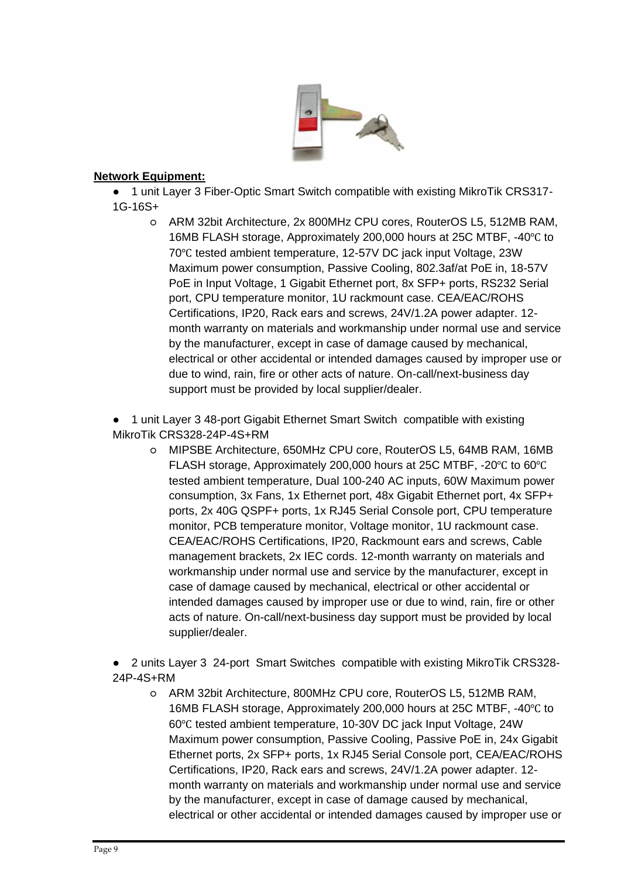

#### **Network Equipment:**

● 1 unit Layer 3 Fiber-Optic Smart Switch compatible with existing MikroTik CRS317- 1G-16S+

○ ARM 32bit Architecture, 2x 800MHz CPU cores, RouterOS L5, 512MB RAM, 16MB FLASH storage, Approximately 200,000 hours at 25C MTBF, -40℃ to 70℃ tested ambient temperature, 12-57V DC jack input Voltage, 23W Maximum power consumption, Passive Cooling, 802.3af/at PoE in, 18-57V PoE in Input Voltage, 1 Gigabit Ethernet port, 8x SFP+ ports, RS232 Serial port, CPU temperature monitor, 1U rackmount case. CEA/EAC/ROHS Certifications, IP20, Rack ears and screws, 24V/1.2A power adapter. 12 month warranty on materials and workmanship under normal use and service by the manufacturer, except in case of damage caused by mechanical, electrical or other accidental or intended damages caused by improper use or due to wind, rain, fire or other acts of nature. On-call/next-business day support must be provided by local supplier/dealer.

● 1 unit Layer 3 48-port Gigabit Ethernet Smart Switch compatible with existing MikroTik CRS328-24P-4S+RM

- MIPSBE Architecture, 650MHz CPU core, RouterOS L5, 64MB RAM, 16MB FLASH storage, Approximately 200,000 hours at 25C MTBF, -20℃ to 60℃ tested ambient temperature, Dual 100-240 AC inputs, 60W Maximum power consumption, 3x Fans, 1x Ethernet port, 48x Gigabit Ethernet port, 4x SFP+ ports, 2x 40G QSPF+ ports, 1x RJ45 Serial Console port, CPU temperature monitor, PCB temperature monitor, Voltage monitor, 1U rackmount case. CEA/EAC/ROHS Certifications, IP20, Rackmount ears and screws, Cable management brackets, 2x IEC cords. 12-month warranty on materials and workmanship under normal use and service by the manufacturer, except in case of damage caused by mechanical, electrical or other accidental or intended damages caused by improper use or due to wind, rain, fire or other acts of nature. On-call/next-business day support must be provided by local supplier/dealer.
- 2 units Layer 3 24-port Smart Switches compatible with existing MikroTik CRS328- 24P-4S+RM
	- ARM 32bit Architecture, 800MHz CPU core, RouterOS L5, 512MB RAM, 16MB FLASH storage, Approximately 200,000 hours at 25C MTBF, -40℃ to 60℃ tested ambient temperature, 10-30V DC jack Input Voltage, 24W Maximum power consumption, Passive Cooling, Passive PoE in, 24x Gigabit Ethernet ports, 2x SFP+ ports, 1x RJ45 Serial Console port, CEA/EAC/ROHS Certifications, IP20, Rack ears and screws, 24V/1.2A power adapter. 12 month warranty on materials and workmanship under normal use and service by the manufacturer, except in case of damage caused by mechanical, electrical or other accidental or intended damages caused by improper use or